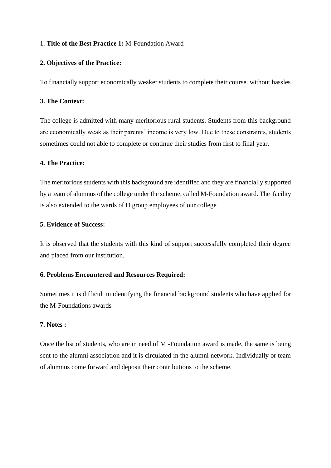## 1. **Title of the Best Practice 1:** M-Foundation Award

# **2. Objectives of the Practice:**

To financially support economically weaker students to complete their course without hassles

# **3. The Context:**

The college is admitted with many meritorious rural students. Students from this background are economically weak as their parents' income is very low. Due to these constraints, students sometimes could not able to complete or continue their studies from first to final year.

## **4. The Practice:**

The meritorious students with this background are identified and they are financially supported by a team of alumnus of the college under the scheme, called M-Foundation award. The facility is also extended to the wards of D group employees of our college

## **5. Evidence of Success:**

It is observed that the students with this kind of support successfully completed their degree and placed from our institution.

## **6. Problems Encountered and Resources Required:**

Sometimes it is difficult in identifying the financial background students who have applied for the M-Foundations awards

## **7. Notes :**

Once the list of students, who are in need of M -Foundation award is made, the same is being sent to the alumni association and it is circulated in the alumni network. Individually or team of alumnus come forward and deposit their contributions to the scheme.